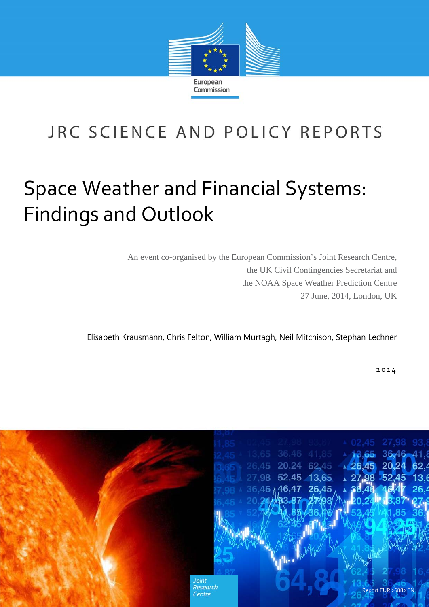

# JRC SCIENCE AND POLICY REPORTS

# Space Weather and Financial Systems: Findings and Outlook

An event co-organised by the European Commission's Joint Research Centre, the UK Civil Contingencies Secretariat and the NOAA Space Weather Prediction Centre 27 June, 2014, London, UK

Elisabeth Krausmann, Chris Felton, William Murtagh, Neil Mitchison, Stephan Lechner

2014

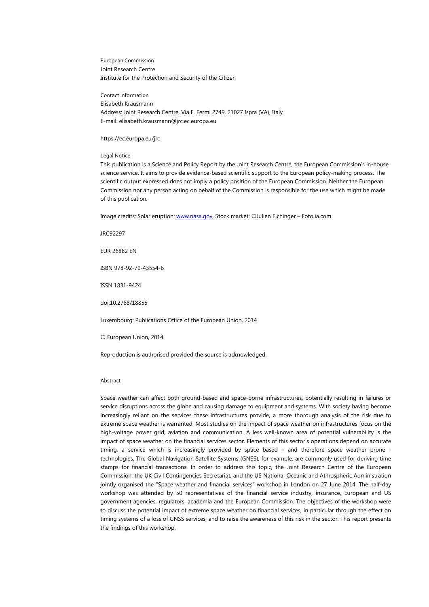European Commission Joint Research Centre Institute for the Protection and Security of the Citizen

Contact information Elisabeth Krausmann Address: Joint Research Centre, Via E. Fermi 2749, 21027 Ispra (VA), Italy E-mail: elisabeth.krausmann@jrc.ec.europa.eu

https://ec.europa.eu/jrc

#### Legal Notice

This publication is a Science and Policy Report by the Joint Research Centre, the European Commission's in-house science service. It aims to provide evidence-based scientific support to the European policy-making process. The scientific output expressed does not imply a policy position of the European Commission. Neither the European Commission nor any person acting on behalf of the Commission is responsible for the use which might be made of this publication.

Image credits: Solar eruption: www.nasa.gov, Stock market: ©Julien Eichinger – Fotolia.com

JRC92297

EUR 26882 EN

ISBN 978-92-79-43554-6

ISSN 1831-9424

doi:10.2788/18855

Luxembourg: Publications Office of the European Union, 2014

© European Union, 2014

Reproduction is authorised provided the source is acknowledged.

#### Abstract

Space weather can affect both ground-based and space-borne infrastructures, potentially resulting in failures or service disruptions across the globe and causing damage to equipment and systems. With society having become increasingly reliant on the services these infrastructures provide, a more thorough analysis of the risk due to extreme space weather is warranted. Most studies on the impact of space weather on infrastructures focus on the high-voltage power grid, aviation and communication. A less well-known area of potential vulnerability is the impact of space weather on the financial services sector. Elements of this sector's operations depend on accurate timing, a service which is increasingly provided by space based – and therefore space weather prone technologies. The Global Navigation Satellite Systems (GNSS), for example, are commonly used for deriving time stamps for financial transactions. In order to address this topic, the Joint Research Centre of the European Commission, the UK Civil Contingencies Secretariat, and the US National Oceanic and Atmospheric Administration jointly organised the "Space weather and financial services" workshop in London on 27 June 2014. The half-day workshop was attended by 50 representatives of the financial service industry, insurance, European and US government agencies, regulators, academia and the European Commission. The objectives of the workshop were to discuss the potential impact of extreme space weather on financial services, in particular through the effect on timing systems of a loss of GNSS services, and to raise the awareness of this risk in the sector. This report presents the findings of this workshop.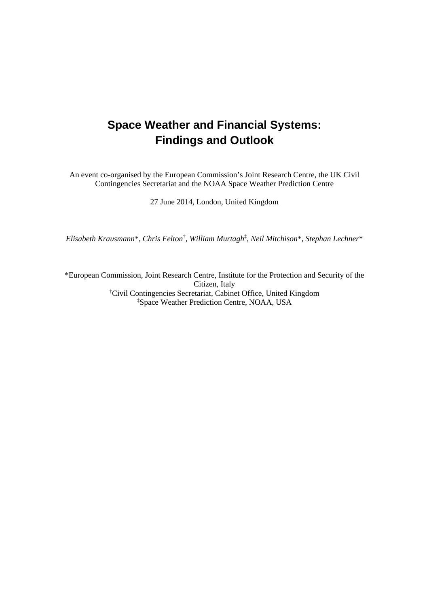## **Space Weather and Financial Systems: Findings and Outlook**

An event co-organised by the European Commission's Joint Research Centre, the UK Civil Contingencies Secretariat and the NOAA Space Weather Prediction Centre

27 June 2014, London, United Kingdom

*Elisabeth Krausmann*\**, Chris Felton*† *, William Murtagh*‡ *, Neil Mitchison*\**, Stephan Lechner*\*

\*European Commission, Joint Research Centre, Institute for the Protection and Security of the Citizen, Italy † Civil Contingencies Secretariat, Cabinet Office, United Kingdom ‡ Space Weather Prediction Centre, NOAA, USA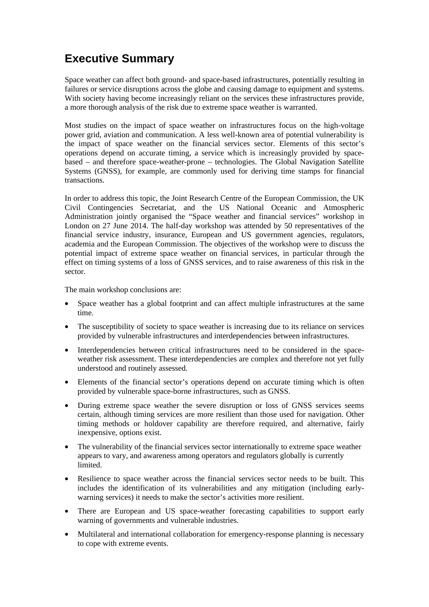## **Executive Summary**

Space weather can affect both ground- and space-based infrastructures, potentially resulting in failures or service disruptions across the globe and causing damage to equipment and systems. With society having become increasingly reliant on the services these infrastructures provide, a more thorough analysis of the risk due to extreme space weather is warranted.

Most studies on the impact of space weather on infrastructures focus on the high-voltage power grid, aviation and communication. A less well-known area of potential vulnerability is the impact of space weather on the financial services sector. Elements of this sector's operations depend on accurate timing, a service which is increasingly provided by spacebased – and therefore space-weather-prone – technologies. The Global Navigation Satellite Systems (GNSS), for example, are commonly used for deriving time stamps for financial transactions.

In order to address this topic, the Joint Research Centre of the European Commission, the UK Civil Contingencies Secretariat, and the US National Oceanic and Atmospheric Administration jointly organised the "Space weather and financial services" workshop in London on 27 June 2014. The half-day workshop was attended by 50 representatives of the financial service industry, insurance, European and US government agencies, regulators, academia and the European Commission. The objectives of the workshop were to discuss the potential impact of extreme space weather on financial services, in particular through the effect on timing systems of a loss of GNSS services, and to raise awareness of this risk in the sector.

The main workshop conclusions are:

- Space weather has a global footprint and can affect multiple infrastructures at the same time.
- The susceptibility of society to space weather is increasing due to its reliance on services provided by vulnerable infrastructures and interdependencies between infrastructures.
- Interdependencies between critical infrastructures need to be considered in the spaceweather risk assessment. These interdependencies are complex and therefore not yet fully understood and routinely assessed.
- Elements of the financial sector's operations depend on accurate timing which is often provided by vulnerable space-borne infrastructures, such as GNSS.
- During extreme space weather the severe disruption or loss of GNSS services seems certain, although timing services are more resilient than those used for navigation. Other timing methods or holdover capability are therefore required, and alternative, fairly inexpensive, options exist.
- The vulnerability of the financial services sector internationally to extreme space weather appears to vary, and awareness among operators and regulators globally is currently limited.
- Resilience to space weather across the financial services sector needs to be built. This includes the identification of its vulnerabilities and any mitigation (including earlywarning services) it needs to make the sector's activities more resilient.
- There are European and US space-weather forecasting capabilities to support early warning of governments and vulnerable industries.
- Multilateral and international collaboration for emergency-response planning is necessary to cope with extreme events.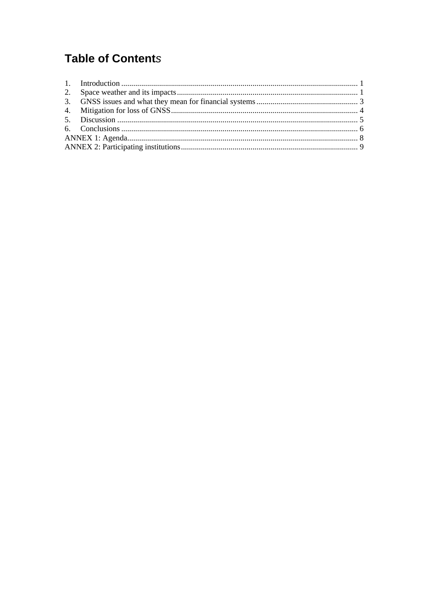## **Table of Contents**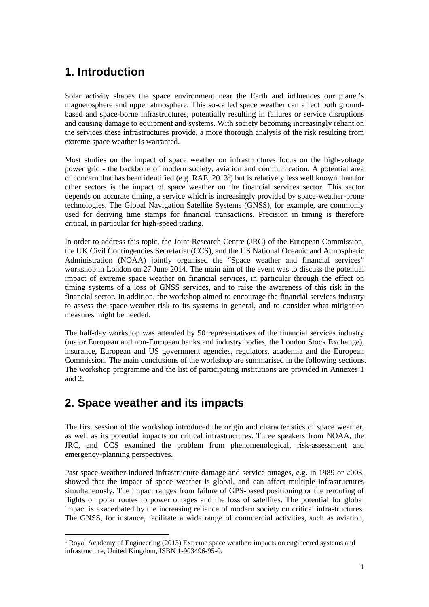### **1. Introduction**

Solar activity shapes the space environment near the Earth and influences our planet's magnetosphere and upper atmosphere. This so-called space weather can affect both groundbased and space-borne infrastructures, potentially resulting in failures or service disruptions and causing damage to equipment and systems. With society becoming increasingly reliant on the services these infrastructures provide, a more thorough analysis of the risk resulting from extreme space weather is warranted.

Most studies on the impact of space weather on infrastructures focus on the high-voltage power grid - the backbone of modern society, aviation and communication. A potential area of concern that has been identified (e.g. RAE, 2013<sup>1</sup>) but is relatively less well known than for other sectors is the impact of space weather on the financial services sector. This sector depends on accurate timing, a service which is increasingly provided by space-weather-prone technologies. The Global Navigation Satellite Systems (GNSS), for example, are commonly used for deriving time stamps for financial transactions. Precision in timing is therefore critical, in particular for high-speed trading.

In order to address this topic, the Joint Research Centre (JRC) of the European Commission, the UK Civil Contingencies Secretariat (CCS), and the US National Oceanic and Atmospheric Administration (NOAA) jointly organised the "Space weather and financial services" workshop in London on 27 June 2014. The main aim of the event was to discuss the potential impact of extreme space weather on financial services, in particular through the effect on timing systems of a loss of GNSS services, and to raise the awareness of this risk in the financial sector. In addition, the workshop aimed to encourage the financial services industry to assess the space-weather risk to its systems in general, and to consider what mitigation measures might be needed.

The half-day workshop was attended by 50 representatives of the financial services industry (major European and non-European banks and industry bodies, the London Stock Exchange), insurance, European and US government agencies, regulators, academia and the European Commission. The main conclusions of the workshop are summarised in the following sections. The workshop programme and the list of participating institutions are provided in Annexes 1 and 2.

## **2. Space weather and its impacts**

 $\overline{a}$ 

The first session of the workshop introduced the origin and characteristics of space weather, as well as its potential impacts on critical infrastructures. Three speakers from NOAA, the JRC, and CCS examined the problem from phenomenological, risk-assessment and emergency-planning perspectives.

Past space-weather-induced infrastructure damage and service outages, e.g. in 1989 or 2003, showed that the impact of space weather is global, and can affect multiple infrastructures simultaneously. The impact ranges from failure of GPS-based positioning or the rerouting of flights on polar routes to power outages and the loss of satellites. The potential for global impact is exacerbated by the increasing reliance of modern society on critical infrastructures. The GNSS, for instance, facilitate a wide range of commercial activities, such as aviation,

<sup>&</sup>lt;sup>1</sup> Royal Academy of Engineering (2013) Extreme space weather: impacts on engineered systems and infrastructure, United Kingdom, ISBN 1-903496-95-0.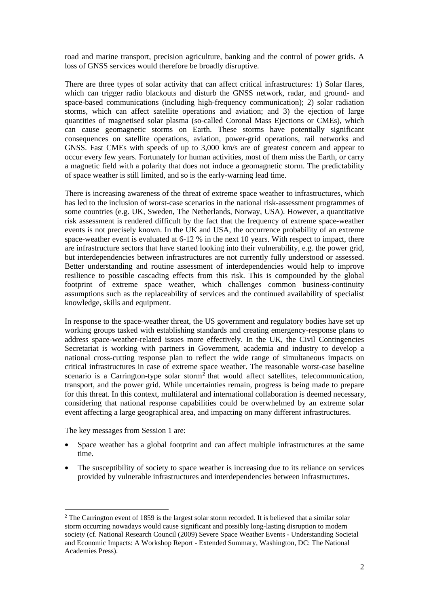road and marine transport, precision agriculture, banking and the control of power grids. A loss of GNSS services would therefore be broadly disruptive.

There are three types of solar activity that can affect critical infrastructures: 1) Solar flares, which can trigger radio blackouts and disturb the GNSS network, radar, and ground- and space-based communications (including high-frequency communication); 2) solar radiation storms, which can affect satellite operations and aviation; and 3) the ejection of large quantities of magnetised solar plasma (so-called Coronal Mass Ejections or CMEs), which can cause geomagnetic storms on Earth. These storms have potentially significant consequences on satellite operations, aviation, power-grid operations, rail networks and GNSS. Fast CMEs with speeds of up to 3,000 km/s are of greatest concern and appear to occur every few years. Fortunately for human activities, most of them miss the Earth, or carry a magnetic field with a polarity that does not induce a geomagnetic storm. The predictability of space weather is still limited, and so is the early-warning lead time.

There is increasing awareness of the threat of extreme space weather to infrastructures, which has led to the inclusion of worst-case scenarios in the national risk-assessment programmes of some countries (e.g. UK, Sweden, The Netherlands, Norway, USA). However, a quantitative risk assessment is rendered difficult by the fact that the frequency of extreme space-weather events is not precisely known. In the UK and USA, the occurrence probability of an extreme space-weather event is evaluated at 6-12 % in the next 10 years. With respect to impact, there are infrastructure sectors that have started looking into their vulnerability, e.g. the power grid, but interdependencies between infrastructures are not currently fully understood or assessed. Better understanding and routine assessment of interdependencies would help to improve resilience to possible cascading effects from this risk. This is compounded by the global footprint of extreme space weather, which challenges common business-continuity assumptions such as the replaceability of services and the continued availability of specialist knowledge, skills and equipment.

In response to the space-weather threat, the US government and regulatory bodies have set up working groups tasked with establishing standards and creating emergency-response plans to address space-weather-related issues more effectively. In the UK, the Civil Contingencies Secretariat is working with partners in Government, academia and industry to develop a national cross-cutting response plan to reflect the wide range of simultaneous impacts on critical infrastructures in case of extreme space weather. The reasonable worst-case baseline scenario is a Carrington-type solar storm<sup>2</sup> that would affect satellites, telecommunication, transport, and the power grid. While uncertainties remain, progress is being made to prepare for this threat. In this context, multilateral and international collaboration is deemed necessary, considering that national response capabilities could be overwhelmed by an extreme solar event affecting a large geographical area, and impacting on many different infrastructures.

The key messages from Session 1 are:

 $\overline{a}$ 

- Space weather has a global footprint and can affect multiple infrastructures at the same time.
- The susceptibility of society to space weather is increasing due to its reliance on services provided by vulnerable infrastructures and interdependencies between infrastructures.

<sup>&</sup>lt;sup>2</sup> The Carrington event of 1859 is the largest solar storm recorded. It is believed that a similar solar storm occurring nowadays would cause significant and possibly long-lasting disruption to modern society (cf. National Research Council (2009) Severe Space Weather Events - Understanding Societal and Economic Impacts: A Workshop Report - Extended Summary, Washington, DC: The National Academies Press).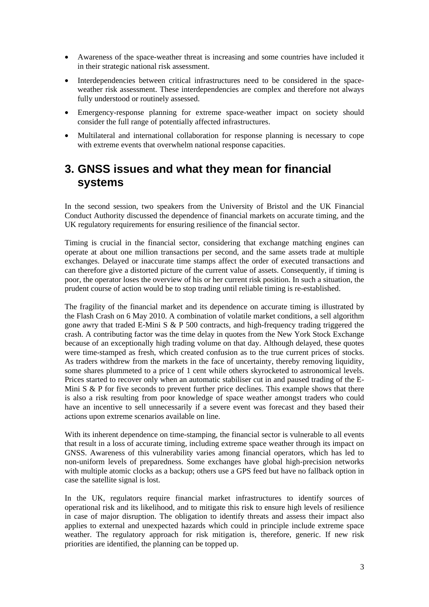- Awareness of the space-weather threat is increasing and some countries have included it in their strategic national risk assessment.
- Interdependencies between critical infrastructures need to be considered in the spaceweather risk assessment. These interdependencies are complex and therefore not always fully understood or routinely assessed.
- Emergency-response planning for extreme space-weather impact on society should consider the full range of potentially affected infrastructures.
- Multilateral and international collaboration for response planning is necessary to cope with extreme events that overwhelm national response capacities.

#### **3. GNSS issues and what they mean for financial systems**

In the second session, two speakers from the University of Bristol and the UK Financial Conduct Authority discussed the dependence of financial markets on accurate timing, and the UK regulatory requirements for ensuring resilience of the financial sector.

Timing is crucial in the financial sector, considering that exchange matching engines can operate at about one million transactions per second, and the same assets trade at multiple exchanges. Delayed or inaccurate time stamps affect the order of executed transactions and can therefore give a distorted picture of the current value of assets. Consequently, if timing is poor, the operator loses the overview of his or her current risk position. In such a situation, the prudent course of action would be to stop trading until reliable timing is re-established.

The fragility of the financial market and its dependence on accurate timing is illustrated by the Flash Crash on 6 May 2010. A combination of volatile market conditions, a sell algorithm gone awry that traded E-Mini S & P 500 contracts, and high-frequency trading triggered the crash. A contributing factor was the time delay in quotes from the New York Stock Exchange because of an exceptionally high trading volume on that day. Although delayed, these quotes were time-stamped as fresh, which created confusion as to the true current prices of stocks. As traders withdrew from the markets in the face of uncertainty, thereby removing liquidity, some shares plummeted to a price of 1 cent while others skyrocketed to astronomical levels. Prices started to recover only when an automatic stabiliser cut in and paused trading of the E-Mini S & P for five seconds to prevent further price declines. This example shows that there is also a risk resulting from poor knowledge of space weather amongst traders who could have an incentive to sell unnecessarily if a severe event was forecast and they based their actions upon extreme scenarios available on line.

With its inherent dependence on time-stamping, the financial sector is vulnerable to all events that result in a loss of accurate timing, including extreme space weather through its impact on GNSS. Awareness of this vulnerability varies among financial operators, which has led to non-uniform levels of preparedness. Some exchanges have global high-precision networks with multiple atomic clocks as a backup; others use a GPS feed but have no fallback option in case the satellite signal is lost.

In the UK, regulators require financial market infrastructures to identify sources of operational risk and its likelihood, and to mitigate this risk to ensure high levels of resilience in case of major disruption. The obligation to identify threats and assess their impact also applies to external and unexpected hazards which could in principle include extreme space weather. The regulatory approach for risk mitigation is, therefore, generic. If new risk priorities are identified, the planning can be topped up.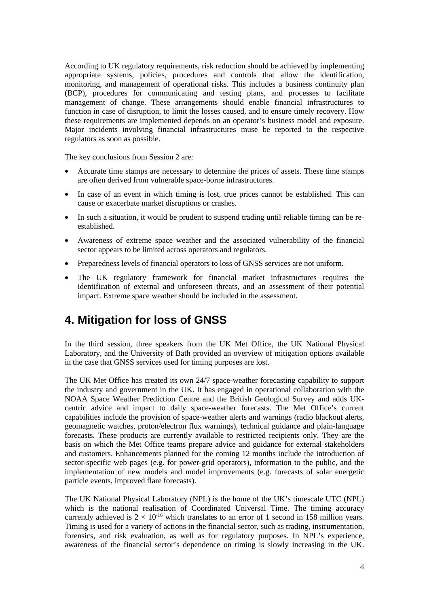According to UK regulatory requirements, risk reduction should be achieved by implementing appropriate systems, policies, procedures and controls that allow the identification, monitoring, and management of operational risks. This includes a business continuity plan (BCP), procedures for communicating and testing plans, and processes to facilitate management of change. These arrangements should enable financial infrastructures to function in case of disruption, to limit the losses caused, and to ensure timely recovery. How these requirements are implemented depends on an operator's business model and exposure. Major incidents involving financial infrastructures muse be reported to the respective regulators as soon as possible.

The key conclusions from Session 2 are:

- Accurate time stamps are necessary to determine the prices of assets. These time stamps are often derived from vulnerable space-borne infrastructures.
- In case of an event in which timing is lost, true prices cannot be established. This can cause or exacerbate market disruptions or crashes.
- In such a situation, it would be prudent to suspend trading until reliable timing can be reestablished.
- Awareness of extreme space weather and the associated vulnerability of the financial sector appears to be limited across operators and regulators.
- Preparedness levels of financial operators to loss of GNSS services are not uniform.
- The UK regulatory framework for financial market infrastructures requires the identification of external and unforeseen threats, and an assessment of their potential impact. Extreme space weather should be included in the assessment.

#### **4. Mitigation for loss of GNSS**

In the third session, three speakers from the UK Met Office, the UK National Physical Laboratory, and the University of Bath provided an overview of mitigation options available in the case that GNSS services used for timing purposes are lost.

The UK Met Office has created its own 24/7 space-weather forecasting capability to support the industry and government in the UK. It has engaged in operational collaboration with the NOAA Space Weather Prediction Centre and the British Geological Survey and adds UKcentric advice and impact to daily space-weather forecasts. The Met Office's current capabilities include the provision of space-weather alerts and warnings (radio blackout alerts, geomagnetic watches, proton/electron flux warnings), technical guidance and plain-language forecasts. These products are currently available to restricted recipients only. They are the basis on which the Met Office teams prepare advice and guidance for external stakeholders and customers. Enhancements planned for the coming 12 months include the introduction of sector-specific web pages (e.g. for power-grid operators), information to the public, and the implementation of new models and model improvements (e.g. forecasts of solar energetic particle events, improved flare forecasts).

The UK National Physical Laboratory (NPL) is the home of the UK's timescale UTC (NPL) which is the national realisation of Coordinated Universal Time. The timing accuracy currently achieved is  $2 \times 10^{-16}$  which translates to an error of 1 second in 158 million years. Timing is used for a variety of actions in the financial sector, such as trading, instrumentation, forensics, and risk evaluation, as well as for regulatory purposes. In NPL's experience, awareness of the financial sector's dependence on timing is slowly increasing in the UK.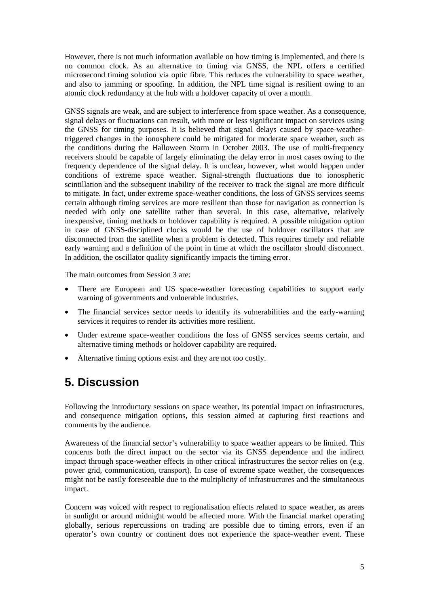However, there is not much information available on how timing is implemented, and there is no common clock. As an alternative to timing via GNSS, the NPL offers a certified microsecond timing solution via optic fibre. This reduces the vulnerability to space weather, and also to jamming or spoofing. In addition, the NPL time signal is resilient owing to an atomic clock redundancy at the hub with a holdover capacity of over a month.

GNSS signals are weak, and are subject to interference from space weather. As a consequence, signal delays or fluctuations can result, with more or less significant impact on services using the GNSS for timing purposes. It is believed that signal delays caused by space-weathertriggered changes in the ionosphere could be mitigated for moderate space weather, such as the conditions during the Halloween Storm in October 2003. The use of multi-frequency receivers should be capable of largely eliminating the delay error in most cases owing to the frequency dependence of the signal delay. It is unclear, however, what would happen under conditions of extreme space weather. Signal-strength fluctuations due to ionospheric scintillation and the subsequent inability of the receiver to track the signal are more difficult to mitigate. In fact, under extreme space-weather conditions, the loss of GNSS services seems certain although timing services are more resilient than those for navigation as connection is needed with only one satellite rather than several. In this case, alternative, relatively inexpensive, timing methods or holdover capability is required. A possible mitigation option in case of GNSS-disciplined clocks would be the use of holdover oscillators that are disconnected from the satellite when a problem is detected. This requires timely and reliable early warning and a definition of the point in time at which the oscillator should disconnect. In addition, the oscillator quality significantly impacts the timing error.

The main outcomes from Session 3 are:

- There are European and US space-weather forecasting capabilities to support early warning of governments and vulnerable industries.
- The financial services sector needs to identify its vulnerabilities and the early-warning services it requires to render its activities more resilient.
- Under extreme space-weather conditions the loss of GNSS services seems certain, and alternative timing methods or holdover capability are required.
- Alternative timing options exist and they are not too costly.

#### **5. Discussion**

Following the introductory sessions on space weather, its potential impact on infrastructures, and consequence mitigation options, this session aimed at capturing first reactions and comments by the audience.

Awareness of the financial sector's vulnerability to space weather appears to be limited. This concerns both the direct impact on the sector via its GNSS dependence and the indirect impact through space-weather effects in other critical infrastructures the sector relies on (e.g. power grid, communication, transport). In case of extreme space weather, the consequences might not be easily foreseeable due to the multiplicity of infrastructures and the simultaneous impact.

Concern was voiced with respect to regionalisation effects related to space weather, as areas in sunlight or around midnight would be affected more. With the financial market operating globally, serious repercussions on trading are possible due to timing errors, even if an operator's own country or continent does not experience the space-weather event. These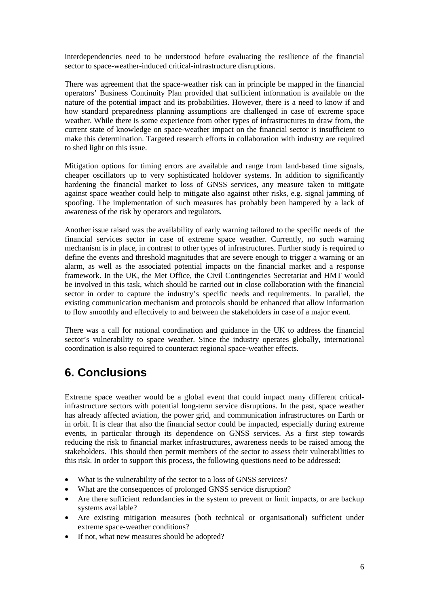interdependencies need to be understood before evaluating the resilience of the financial sector to space-weather-induced critical-infrastructure disruptions.

There was agreement that the space-weather risk can in principle be mapped in the financial operators' Business Continuity Plan provided that sufficient information is available on the nature of the potential impact and its probabilities. However, there is a need to know if and how standard preparedness planning assumptions are challenged in case of extreme space weather. While there is some experience from other types of infrastructures to draw from, the current state of knowledge on space-weather impact on the financial sector is insufficient to make this determination. Targeted research efforts in collaboration with industry are required to shed light on this issue.

Mitigation options for timing errors are available and range from land-based time signals, cheaper oscillators up to very sophisticated holdover systems. In addition to significantly hardening the financial market to loss of GNSS services, any measure taken to mitigate against space weather could help to mitigate also against other risks, e.g. signal jamming of spoofing. The implementation of such measures has probably been hampered by a lack of awareness of the risk by operators and regulators.

Another issue raised was the availability of early warning tailored to the specific needs of the financial services sector in case of extreme space weather. Currently, no such warning mechanism is in place, in contrast to other types of infrastructures. Further study is required to define the events and threshold magnitudes that are severe enough to trigger a warning or an alarm, as well as the associated potential impacts on the financial market and a response framework. In the UK, the Met Office, the Civil Contingencies Secretariat and HMT would be involved in this task, which should be carried out in close collaboration with the financial sector in order to capture the industry's specific needs and requirements. In parallel, the existing communication mechanism and protocols should be enhanced that allow information to flow smoothly and effectively to and between the stakeholders in case of a major event.

There was a call for national coordination and guidance in the UK to address the financial sector's vulnerability to space weather. Since the industry operates globally, international coordination is also required to counteract regional space-weather effects.

#### **6. Conclusions**

Extreme space weather would be a global event that could impact many different criticalinfrastructure sectors with potential long-term service disruptions. In the past, space weather has already affected aviation, the power grid, and communication infrastructures on Earth or in orbit. It is clear that also the financial sector could be impacted, especially during extreme events, in particular through its dependence on GNSS services. As a first step towards reducing the risk to financial market infrastructures, awareness needs to be raised among the stakeholders. This should then permit members of the sector to assess their vulnerabilities to this risk. In order to support this process, the following questions need to be addressed:

- What is the vulnerability of the sector to a loss of GNSS services?
- What are the consequences of prolonged GNSS service disruption?
- Are there sufficient redundancies in the system to prevent or limit impacts, or are backup systems available?
- Are existing mitigation measures (both technical or organisational) sufficient under extreme space-weather conditions?
- If not, what new measures should be adopted?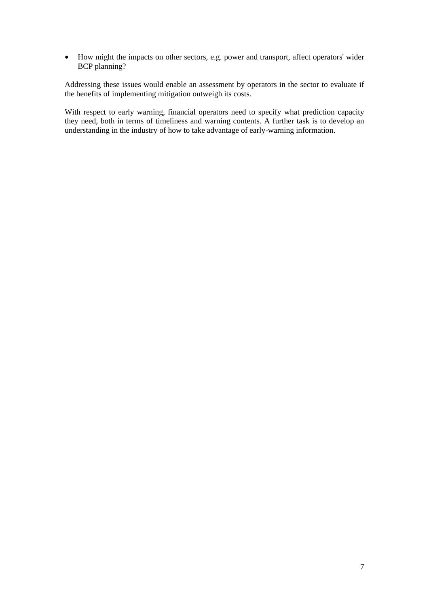• How might the impacts on other sectors, e.g. power and transport, affect operators' wider BCP planning?

Addressing these issues would enable an assessment by operators in the sector to evaluate if the benefits of implementing mitigation outweigh its costs.

With respect to early warning, financial operators need to specify what prediction capacity they need, both in terms of timeliness and warning contents. A further task is to develop an understanding in the industry of how to take advantage of early-warning information.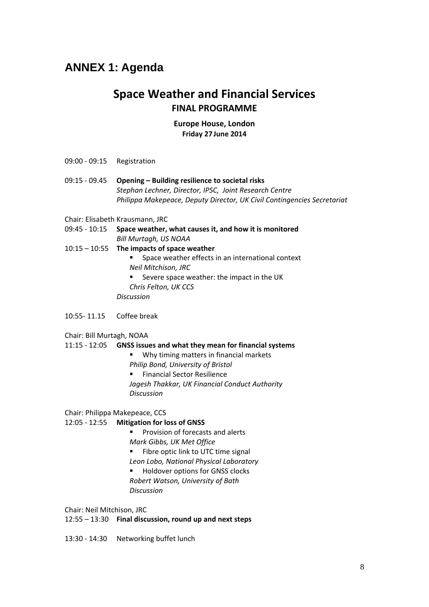#### **ANNEX 1: Agenda**

#### **Space Weather and Financial Services FINAL PROGRAMME**

#### **Europe House, London Friday 27 June 2014**

- 09:00 09:15 Registration
- 09:15 09.45 **Opening Building resilience to societal risks** *Stephan Lechner, Director, IPSC, Joint Research Centre Philippa Makepeace, Deputy Director, UK Civil Contingencies Secretariat*
- Chair: Elisabeth Krausmann, JRC
- 09:45 10:15 **Space weather, what causes it, and how it is monitored** *Bill Murtagh, US NOAA*
- 10:15 10:55 **The impacts of space weather** 
	- **Space weather effects in an international context** *Neil Mitchison, JRC*  Severe space weather: the impact in the UK

*Chris Felton, UK CCS Discussion* 

10:55- 11.15 Coffee break

Chair: Bill Murtagh, NOAA

#### 11:15 - 12:05 **GNSS issues and what they mean for financial systems**

- **Why timing matters in financial markets**
- *Philip Bond, University of Bristol*

**Financial Sector Resilience** *Jagesh Thakkar, UK Financial Conduct Authority Discussion* 

Chair: Philippa Makepeace, CCS

#### 12:05 - 12:55 **Mitigation for loss of GNSS**

- Provision of forecasts and alerts *Mark Gibbs, UK Met Office*
- 
- Fibre optic link to UTC time signal *Leon Lobo, National Physical Laboratory*
- Holdover options for GNSS clocks *Robert Watson, University of Bath*
- *Discussion*

Chair: Neil Mitchison, JRC

12:55 – 13:30 **Final discussion, round up and next steps**

13:30 - 14:30 Networking buffet lunch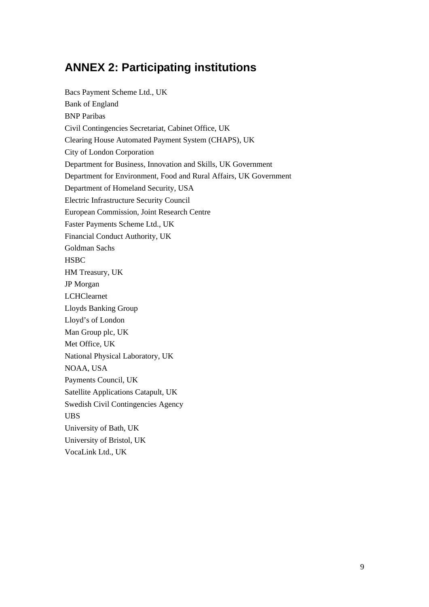### **ANNEX 2: Participating institutions**

Bacs Payment Scheme Ltd., UK Bank of England BNP Paribas Civil Contingencies Secretariat, Cabinet Office, UK Clearing House Automated Payment System (CHAPS), UK City of London Corporation Department for Business, Innovation and Skills, UK Government Department for Environment, Food and Rural Affairs, UK Government Department of Homeland Security, USA Electric Infrastructure Security Council European Commission, Joint Research Centre Faster Payments Scheme Ltd., UK Financial Conduct Authority, UK Goldman Sachs **HSBC** HM Treasury, UK JP Morgan LCHClearnet Lloyds Banking Group Lloyd's of London Man Group plc, UK Met Office, UK National Physical Laboratory, UK NOAA, USA Payments Council, UK Satellite Applications Catapult, UK Swedish Civil Contingencies Agency UBS University of Bath, UK University of Bristol, UK VocaLink Ltd., UK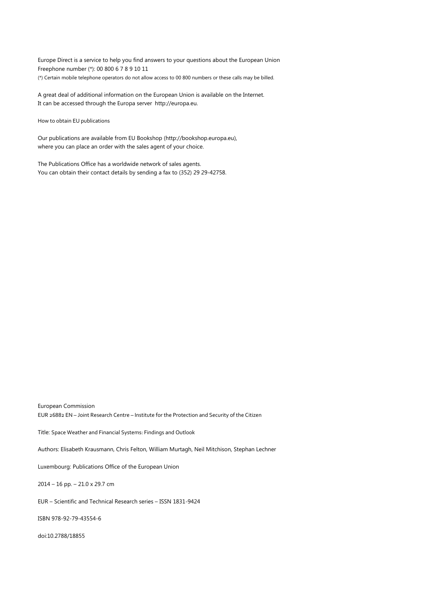Europe Direct is a service to help you find answers to your questions about the European Union Freephone number (\*): 00 800 6 7 8 9 10 11 (\*) Certain mobile telephone operators do not allow access to 00 800 numbers or these calls may be billed.

A great deal of additional information on the European Union is available on the Internet. It can be accessed through the Europa server http://europa.eu.

How to obtain EU publications

Our publications are available from EU Bookshop (http://bookshop.europa.eu), where you can place an order with the sales agent of your choice.

The Publications Office has a worldwide network of sales agents. You can obtain their contact details by sending a fax to (352) 29 29-42758.

European Commission EUR 26882 EN – Joint Research Centre – Institute for the Protection and Security of the Citizen

Title: Space Weather and Financial Systems: Findings and Outlook

Authors: Elisabeth Krausmann, Chris Felton, William Murtagh, Neil Mitchison, Stephan Lechner

Luxembourg: Publications Office of the European Union

2014 – 16 pp. – 21.0 x 29.7 cm

EUR – Scientific and Technical Research series – ISSN 1831-9424

ISBN 978-92-79-43554-6

doi:10.2788/18855